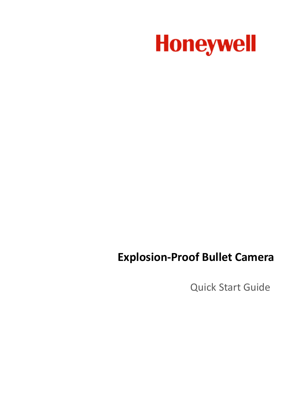

# **Explosion-Proof Bullet Camera**

Quick Start Guide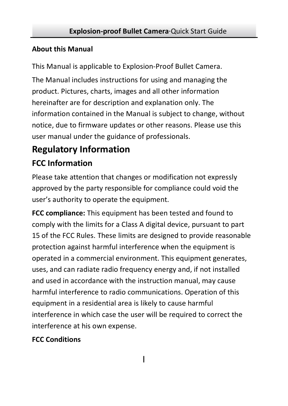#### **About this Manual**

This Manual is applicable to Explosion-Proof Bullet Camera.

The Manual includes instructions for using and managing the product. Pictures, charts, images and all other information hereinafter are for description and explanation only. The information contained in the Manual is subject to change, without notice, due to firmware updates or other reasons. Please use this user manual under the guidance of professionals.

### **Regulatory Information**

### **FCC Information**

Please take attention that changes or modification not expressly approved by the party responsible for compliance could void the user's authority to operate the equipment.

**FCC compliance:** This equipment has been tested and found to comply with the limits for a Class A digital device, pursuant to part 15 of the FCC Rules. These limits are designed to provide reasonable protection against harmful interference when the equipment is operated in a commercial environment. This equipment generates, uses, and can radiate radio frequency energy and, if not installed and used in accordance with the instruction manual, may cause harmful interference to radio communications. Operation of this equipment in a residential area is likely to cause harmful interference in which case the user will be required to correct the interference at his own expense.

#### **FCC Conditions**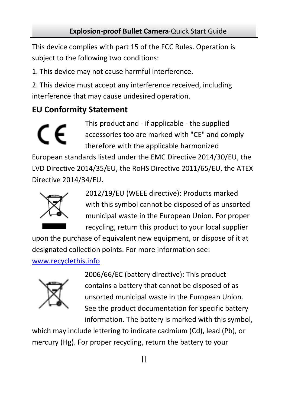This device complies with part 15 of the FCC Rules. Operation is subject to the following two conditions:

1. This device may not cause harmful interference.

2. This device must accept any interference received, including interference that may cause undesired operation.

### **EU Conformity Statement**

This product and - if applicable - the supplied accessories too are marked with "CE" and comply therefore with the applicable harmonized

European standards listed under the EMC Directive 2014/30/EU, the LVD Directive 2014/35/EU, the RoHS Directive 2011/65/EU, the ATEX Directive 2014/34/EU.



2012/19/EU (WEEE directive): Products marked with this symbol cannot be disposed of as unsorted municipal waste in the European Union. For proper recycling, return this product to your local supplier

upon the purchase of equivalent new equipment, or dispose of it at designated collection points. For more information see:

#### [www.recyclethis.info](http://www.recyclethis.info/)



2006/66/EC (battery directive): This product contains a battery that cannot be disposed of as unsorted municipal waste in the European Union. See the product documentation for specific battery information. The battery is marked with this symbol,

which may include lettering to indicate cadmium (Cd), lead (Pb), or mercury (Hg). For proper recycling, return the battery to your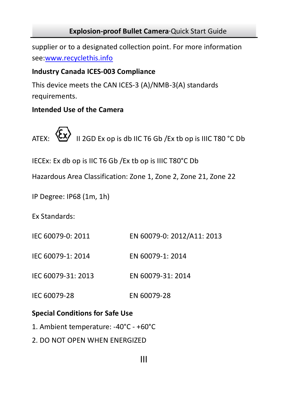supplier or to a designated collection point. For more information see:www.recyclethis.info

#### **Industry Canada ICES-003 Compliance**

This device meets the CAN ICES-3 (A)/NMB-3(A) standards requirements.

#### **Intended Use of the Camera**

ATEX:  $\langle \xi \chi \rangle$  II 2GD Ex op is db IIC T6 Gb /Ex tb op is IIIC T80 °C Db

IECEx: Ex db op is IIC T6 Gb /Ex tb op is IIIC T80°C Db

Hazardous Area Classification: Zone 1, Zone 2, Zone 21, Zone 22

IP Degree: IP68 (1m, 1h)

Ex Standards:

- IEC 60079-0: 2011 EN 60079-0: 2012/A11: 2013
- IEC 60079-1: 2014 EN 60079-1: 2014
- IEC 60079-31: 2013 EN 60079-31: 2014
- IEC 60079-28 EN 60079-28

#### **Special Conditions for Safe Use**

- 1. Ambient temperature: -40°C +60°C
- 2. DO NOT OPEN WHEN ENERGIZED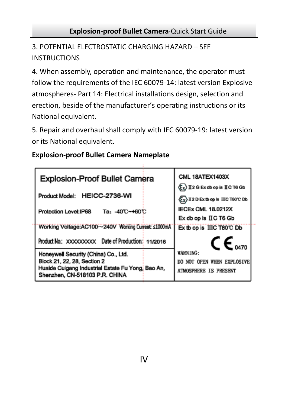3. POTENTIAL ELECTROSTATIC CHARGING HAZARD – SEE INSTRUCTIONS

4. When assembly, operation and maintenance, the operator must follow the requirements of the IEC 60079-14: latest version Explosive atmospheres- Part 14: Electrical installations design, selection and erection, beside of the manufacturer's operating instructions or its National equivalent.

5. Repair and overhaul shall comply with IEC 60079-19: latest version or its National equivalent.

#### **Explosion-proof Bullet Camera Nameplate**

| <b>Explosion-Proof Bullet Camera</b>                                                                                                                       | CML 18ATEX1403X<br>$\langle \mathbf{F}_\mathbf{X} \rangle$ II 2 G Ex db op is II C T6 Gb |
|------------------------------------------------------------------------------------------------------------------------------------------------------------|------------------------------------------------------------------------------------------|
| Product Model: HEICC-2736-WI                                                                                                                               | (Ey) II 2 D Ex to op is IIIC T80 C Db                                                    |
| Protection Level: IP68<br>Та: -40℃~+60℃                                                                                                                    | <b>IECEX CML 18.0212X</b><br>Ex db op is IIC T6 Gb                                       |
| Working Voltage:AC100~240V Working Current: ≤1000mA                                                                                                        | Ex tb op is IIIC T80°C Db                                                                |
| Product No.: XXXXXXXXXX Date of Production: 11/2016                                                                                                        | $\mathsf{CE}_{\mathsf{M70}}$                                                             |
| Honeywell Security (China) Co., Ltd.<br>Block 21, 22, 28, Section 2<br>Huaide Cuigang Industrial Estate Fu Yong, Bao An.<br>Shenzhen, CN-518103 P.R. CHINA | <b>WARNING:</b><br>DO NOT OPEN WHEN EXPLOSIVE<br><b>ATMOSPHERE IS PRESENT</b>            |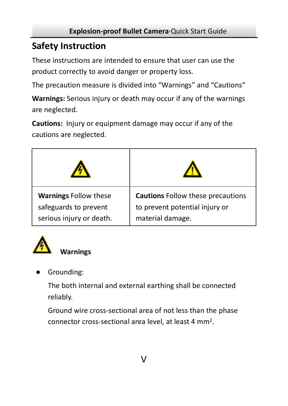### **Safety Instruction**

These instructions are intended to ensure that user can use the product correctly to avoid danger or property loss.

The precaution measure is divided into "Warnings" and "Cautions"

**Warnings:** Serious injury or death may occur if any of the warnings are neglected.

**Cautions:** Injury or equipment damage may occur if any of the cautions are neglected.





Grounding:

The both internal and external earthing shall be connected reliably.

Ground wire cross-sectional area of not less than the phase connector cross-sectional area level, at least 4 mm2.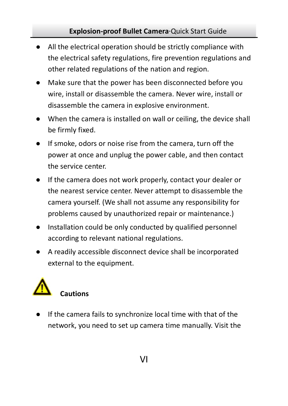- All the electrical operation should be strictly compliance with the electrical safety regulations, fire prevention regulations and other related regulations of the nation and region.
- Make sure that the power has been disconnected before you wire, install or disassemble the camera. Never wire, install or disassemble the camera in explosive environment.
- When the camera is installed on wall or ceiling, the device shall be firmly fixed.
- If smoke, odors or noise rise from the camera, turn off the power at once and unplug the power cable, and then contact the service center.
- If the camera does not work properly, contact your dealer or the nearest service center. Never attempt to disassemble the camera yourself. (We shall not assume any responsibility for problems caused by unauthorized repair or maintenance.)
- Installation could be only conducted by qualified personnel according to relevant national regulations.
- A readily accessible disconnect device shall be incorporated external to the equipment.



If the camera fails to synchronize local time with that of the network, you need to set up camera time manually. Visit the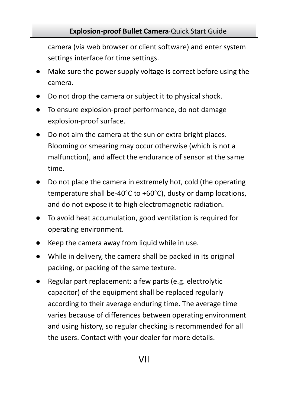camera (via web browser or client software) and enter system settings interface for time settings.

- Make sure the power supply voltage is correct before using the camera.
- Do not drop the camera or subject it to physical shock.
- To ensure explosion-proof performance, do not damage explosion-proof surface.
- Do not aim the camera at the sun or extra bright places. Blooming or smearing may occur otherwise (which is not a malfunction), and affect the endurance of sensor at the same time.
- Do not place the camera in extremely hot, cold (the operating temperature shall be-40°C to +60°C), dusty or damp locations, and do not expose it to high electromagnetic radiation.
- To avoid heat accumulation, good ventilation is required for operating environment.
- Keep the camera away from liquid while in use.
- While in delivery, the camera shall be packed in its original packing, or packing of the same texture.
- Regular part replacement: a few parts (e.g. electrolytic capacitor) of the equipment shall be replaced regularly according to their average enduring time. The average time varies because of differences between operating environment and using history, so regular checking is recommended for all the users. Contact with your dealer for more details.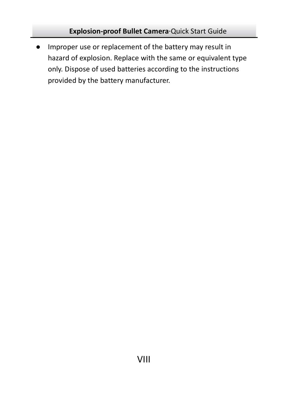● Improper use or replacement of the battery may result in hazard of explosion. Replace with the same or equivalent type only. Dispose of used batteries according to the instructions provided by the battery manufacturer.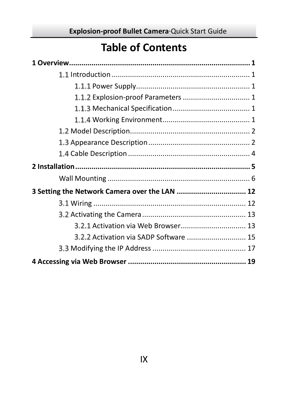# **Table of Contents**

| 3 Setting the Network Camera over the LAN  12 |  |
|-----------------------------------------------|--|
|                                               |  |
|                                               |  |
| 3.2.1 Activation via Web Browser 13           |  |
| 3.2.2 Activation via SADP Software  15        |  |
|                                               |  |
|                                               |  |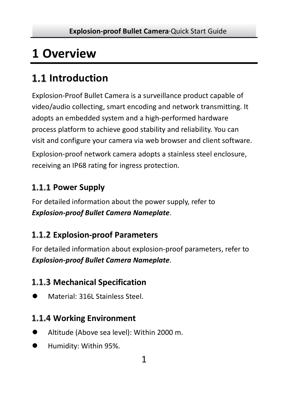# <span id="page-10-0"></span>**1 Overview**

# <span id="page-10-1"></span>**Introduction**

Explosion-Proof Bullet Camera is a surveillance product capable of video/audio collecting, smart encoding and network transmitting. It adopts an embedded system and a high-performed hardware process platform to achieve good stability and reliability. You can visit and configure your camera via web browser and client software.

Explosion-proof network camera adopts a stainless steel enclosure, receiving an IP68 rating for ingress protection.

### <span id="page-10-2"></span>1.1.1 Power Supply

For detailed information about the power supply, refer to *Explosion-proof Bullet Camera Nameplate*.

### <span id="page-10-3"></span>**Explosion-proof Parameters**

For detailed information about explosion-proof parameters, refer to *Explosion-proof Bullet Camera Nameplate*.

### <span id="page-10-4"></span>**Mechanical Specification**

Material: 316L Stainless Steel.

### <span id="page-10-5"></span>**Working Environment**

- Altitude (Above sea level): Within 2000 m.
- Humidity: Within 95%.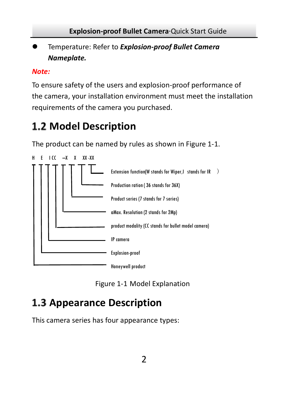Temperature: Refer to *Explosion-proof Bullet Camera Nameplate.*

#### *Note:*

To ensure safety of the users and explosion-proof performance of the camera, your installation environment must meet the installation requirements of the camera you purchased.

# <span id="page-11-0"></span>**Model Description**

The product can be named by rules as shown i[n Figure 1-1.](#page-11-2)



Figure 1-1 Model Explanation

# <span id="page-11-2"></span><span id="page-11-1"></span>**1.3 Appearance Description**

This camera series has four appearance types: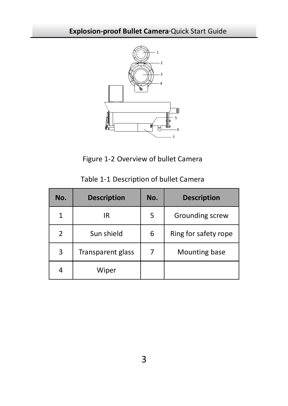

Figure 1-2 Overview of bullet Camera

| No.            | <b>Description</b> | No. | <b>Description</b>   |
|----------------|--------------------|-----|----------------------|
|                | IR                 | 5   | Grounding screw      |
| $\overline{2}$ | Sun shield         | 6   | Ring for safety rope |
| 3              | Transparent glass  |     | Mounting base        |
| 4              | Wiper              |     |                      |

Table 1-1 Description of bullet Camera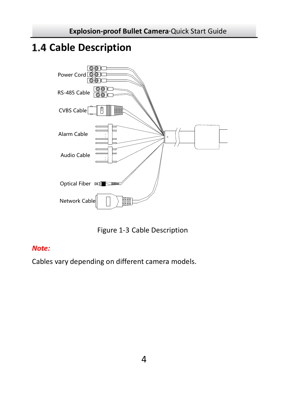## <span id="page-13-0"></span>**Cable Description**



Figure 1-3 Cable Description

#### *Note:*

Cables vary depending on different camera models.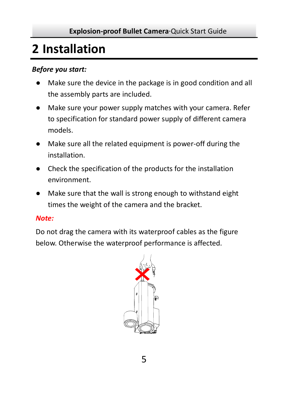# <span id="page-14-0"></span>**2 Installation**

#### *Before you start:*

- Make sure the device in the package is in good condition and all the assembly parts are included.
- Make sure your power supply matches with your camera. Refer to specification for standard power supply of different camera models.
- Make sure all the related equipment is power-off during the installation.
- Check the specification of the products for the installation environment.
- Make sure that the wall is strong enough to withstand eight times the weight of the camera and the bracket.

#### *Note:*

Do not drag the camera with its waterproof cables as the figure below. Otherwise the waterproof performance is affected.

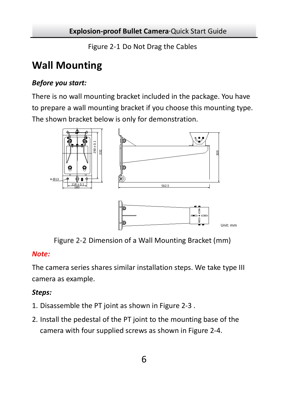Figure 2-1 Do Not Drag the Cables

### <span id="page-15-0"></span>**Wall Mounting**

#### *Before you start:*

There is no wall mounting bracket included in the package. You have to prepare a wall mounting bracket if you choose this mounting type. The shown bracket below is only for demonstration.



Figure 2-2 Dimension of a Wall Mounting Bracket (mm)

#### *Note:*

The camera series shares similar installation steps. We take type III camera as example.

#### *Steps:*

- 1. Disassemble the PT joint as shown i[n Figure 2-3](#page-16-0) .
- 2. Install the pedestal of the PT joint to the mounting base of the camera with four supplied screws as shown i[n Figure 2-4.](#page-16-1)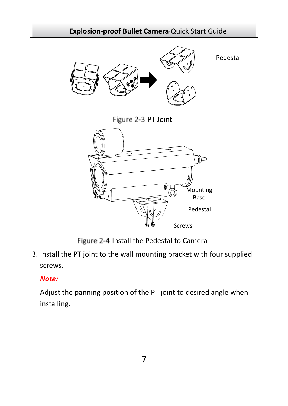<span id="page-16-0"></span>

Figure 2-4 Install the Pedestal to Camera

<span id="page-16-1"></span>3. Install the PT joint to the wall mounting bracket with four supplied screws.

#### *Note:*

Adjust the panning position of the PT joint to desired angle when installing.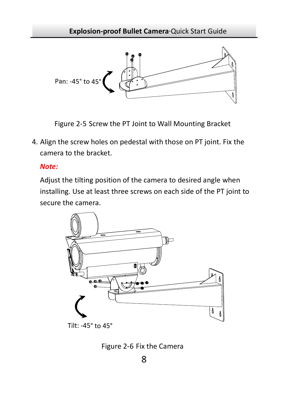

Figure 2-5 Screw the PT Joint to Wall Mounting Bracket

4. Align the screw holes on pedestal with those on PT joint. Fix the camera to the bracket.

#### *Note:*

Adjust the tilting position of the camera to desired angle when installing. Use at least three screws on each side of the PT joint to secure the camera.



Tilt: -45° to 45°

Figure 2-6 Fix the Camera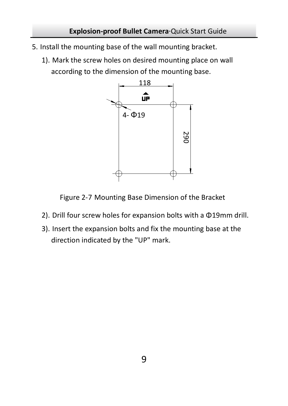- 5. Install the mounting base of the wall mounting bracket.
	- 1). Mark the screw holes on desired mounting place on wall according to the dimension of the mounting base.



Figure 2-7 Mounting Base Dimension of the Bracket

- 2). Drill four screw holes for expansion bolts with a Φ19mm drill.
- 3). Insert the expansion bolts and fix the mounting base at the direction indicated by the "UP" mark.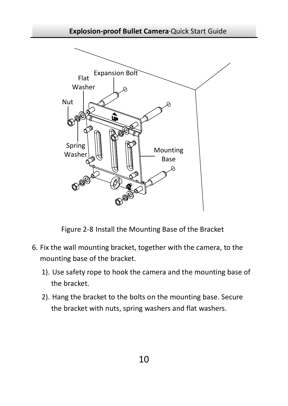



Figure 2-8 Install the Mounting Base of the Bracket

- 6. Fix the wall mounting bracket, together with the camera, to the mounting base of the bracket.
	- 1). Use safety rope to hook the camera and the mounting base of the bracket.
	- 2). Hang the bracket to the bolts on the mounting base. Secure the bracket with nuts, spring washers and flat washers.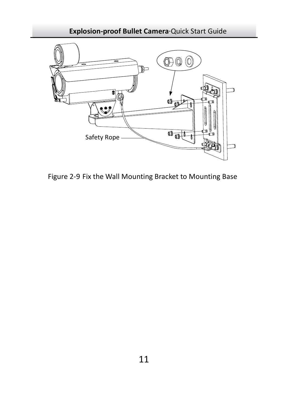

Figure 2-9 Fix the Wall Mounting Bracket to Mounting Base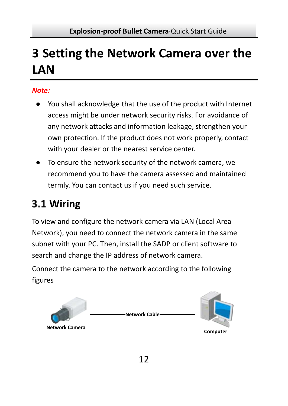# <span id="page-21-0"></span>**3 Setting the Network Camera over the LAN**

#### *Note:*

- You shall acknowledge that the use of the product with Internet access might be under network security risks. For avoidance of any network attacks and information leakage, strengthen your own protection. If the product does not work properly, contact with your dealer or the nearest service center.
- To ensure the network security of the network camera, we recommend you to have the camera assessed and maintained termly. You can contact us if you need such service.

# <span id="page-21-1"></span>**Wiring**

To view and configure the network camera via LAN (Local Area Network), you need to connect the network camera in the same subnet with your PC. Then, install the SADP or client software to search and change the IP address of network camera.

Connect the camera to the network according to the following figures

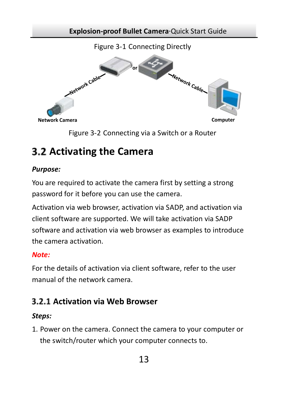



### <span id="page-22-0"></span>**Activating the Camera**

#### *Purpose:*

You are required to activate the camera first by setting a strong password for it before you can use the camera.

Activation via web browser, activation via SADP, and activation via client software are supported. We will take activation via SADP software and activation via web browser as examples to introduce the camera activation.

#### *Note:*

For the details of activation via client software, refer to the user manual of the network camera.

### <span id="page-22-1"></span>**Activation via Web Browser**

#### *Steps:*

1. Power on the camera. Connect the camera to your computer or the switch/router which your computer connects to.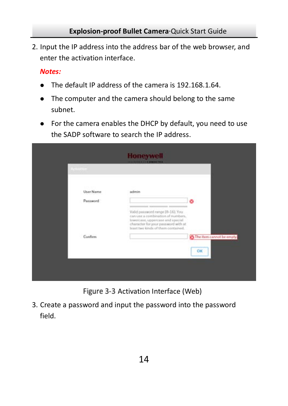2. Input the IP address into the address bar of the web browser, and enter the activation interface.

#### *Notes:*

- The default IP address of the camera is 192.168.1.64.
- The computer and the camera should belong to the same subnet.
- For the camera enables the DHCP by default, you need to use the SADP software to search the IP address.

| User Name      | admin                                                                                                                                              |                           |
|----------------|----------------------------------------------------------------------------------------------------------------------------------------------------|---------------------------|
| Password       |                                                                                                                                                    | ۵                         |
|                | <br>Valid password range [8-16]. You:                                                                                                              |                           |
|                | can use a combination of numbers.<br>lowercase, uppercase and special<br>character for your password with at<br>least two kinds of them contained. |                           |
| <b>Confirm</b> |                                                                                                                                                    | The item cannot be empty. |
|                |                                                                                                                                                    | OK                        |

Figure 3-3 Activation Interface (Web)

3. Create a password and input the password into the password field.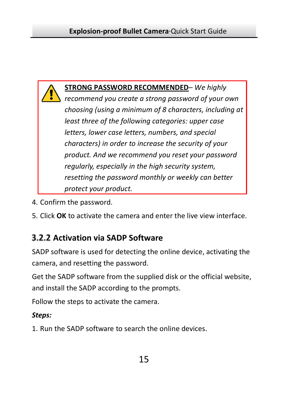

- 4. Confirm the password.
- 5. Click **OK** to activate the camera and enter the live view interface.

### <span id="page-24-0"></span>**Activation via SADP Software**

SADP software is used for detecting the online device, activating the camera, and resetting the password.

Get the SADP software from the supplied disk or the official website, and install the SADP according to the prompts.

Follow the steps to activate the camera.

#### *Steps:*

1. Run the SADP software to search the online devices.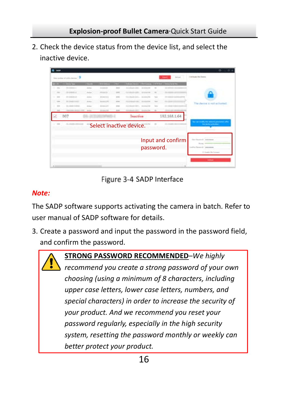2. Check the device status from the device list, and select the inactive device.

|                |                        |               |                   |                         |                          |                   | ۰                        |
|----------------|------------------------|---------------|-------------------|-------------------------|--------------------------|-------------------|--------------------------|
|                | who show assay 19      |               |                   |                         |                          |                   | I to hum the Terms       |
| <b>COMPANY</b> | <b>College College</b> |               | <b>THE ROOM</b>   | --<br>--                | $\overline{\phantom{a}}$ | ---               |                          |
|                |                        | $100 - 100$   | <b>HEART</b>      |                         |                          |                   |                          |
|                |                        | <b>Select</b> | $-0.011$          |                         | ٠                        |                   |                          |
|                |                        | -             | <b>STATISTICS</b> |                         |                          |                   |                          |
|                |                        | <b>State</b>  | -----             |                         |                          |                   |                          |
|                |                        | $\frac{1}{2}$ | <b>STALLED</b>    | <b><i>COMMAND</i></b>   |                          |                   |                          |
|                |                        | --            | ---               |                         |                          |                   |                          |
|                | 007                    |               |                   | Inactive                |                          | 192.168.1.64      |                          |
|                |                        |               |                   | Select inactive device. |                          |                   | <b>A DOMESTIC</b><br>.   |
|                |                        |               |                   |                         |                          |                   |                          |
|                |                        |               |                   |                         |                          | Input and confirm |                          |
|                |                        |               |                   | password.               |                          |                   |                          |
|                |                        |               |                   |                         |                          |                   | 11 Analysis Print Armsen |
|                |                        |               |                   |                         |                          |                   |                          |
|                |                        |               |                   |                         |                          |                   | $\overline{\phantom{a}}$ |
| $\sim$         |                        |               |                   |                         |                          |                   |                          |

Figure 3-4 SADP Interface

#### *Note:*

The SADP software supports activating the camera in batch. Refer to user manual of SADP software for details.

3. Create a password and input the password in the password field, and confirm the password.



**STRONG PASSWORD RECOMMENDED***–We highly recommend you create a strong password of your own choosing (using a minimum of 8 characters, including upper case letters, lower case letters, numbers, and special characters) in order to increase the security of your product. And we recommend you reset your password regularly, especially in the high security system, resetting the password monthly or weekly can better protect your product.*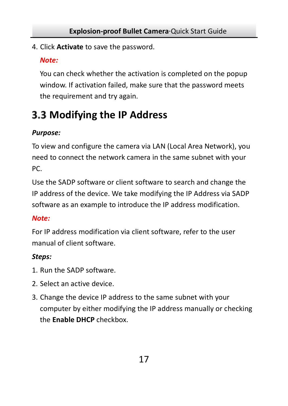4. Click **Activate** to save the password.

#### *Note:*

You can check whether the activation is completed on the popup window. If activation failed, make sure that the password meets the requirement and try again.

# <span id="page-26-0"></span>**Modifying the IP Address**

#### *Purpose:*

To view and configure the camera via LAN (Local Area Network), you need to connect the network camera in the same subnet with your PC.

Use the SADP software or client software to search and change the IP address of the device. We take modifying the IP Address via SADP software as an example to introduce the IP address modification.

#### *Note:*

For IP address modification via client software, refer to the user manual of client software.

#### *Steps:*

- 1. Run the SADP software.
- 2. Select an active device.
- 3. Change the device IP address to the same subnet with your computer by either modifying the IP address manually or checking the **Enable DHCP** checkbox.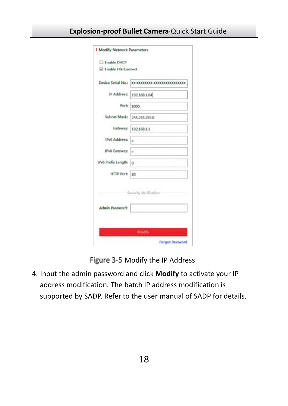| T Enable DHCP         |                                                  |
|-----------------------|--------------------------------------------------|
| C Enable Hilc Connect |                                                  |
|                       | Device Serial No.: XX-XXXXXXXX-XXXXXXXXXXXXXXXXX |
|                       | IP Address: 192.168.1.64                         |
| Port:                 | soco                                             |
| Subnet Mask:          | 255.255.255.0                                    |
| Gateway:              | 192,168,1.1                                      |
| IPv6 Address:         |                                                  |
| IPv6 Gateway:         | lm.                                              |
| IPv6 Prefix Length: 0 |                                                  |
| HTTP Port 80          |                                                  |
|                       | Security Verificatio                             |
|                       |                                                  |
| Admin Password:       |                                                  |
|                       | Modify                                           |

Figure 3-5 Modify the IP Address

4. Input the admin password and click **Modify** to activate your IP address modification. The batch IP address modification is supported by SADP. Refer to the user manual of SADP for details.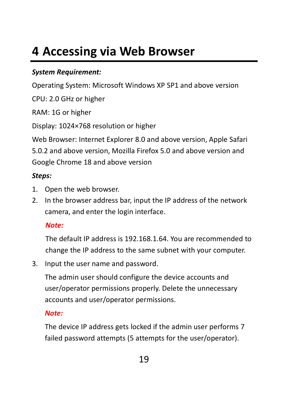# <span id="page-28-0"></span>**4 Accessing via Web Browser**

#### *System Requirement:*

Operating System: Microsoft Windows XP SP1 and above version

CPU: 2.0 GHz or higher

RAM: 1G or higher

Display: 1024×768 resolution or higher

Web Browser: Internet Explorer 8.0 and above version, Apple Safari 5.0.2 and above version, Mozilla Firefox 5.0 and above version and Google Chrome 18 and above version

#### *Steps:*

- 1. Open the web browser.
- 2. In the browser address bar, input the IP address of the network camera, and enter the login interface.

#### *Note:*

The default IP address is 192.168.1.64. You are recommended to change the IP address to the same subnet with your computer.

3. Input the user name and password.

The admin user should configure the device accounts and user/operator permissions properly. Delete the unnecessary accounts and user/operator permissions.

#### *Note:*

The device IP address gets locked if the admin user performs 7 failed password attempts (5 attempts for the user/operator).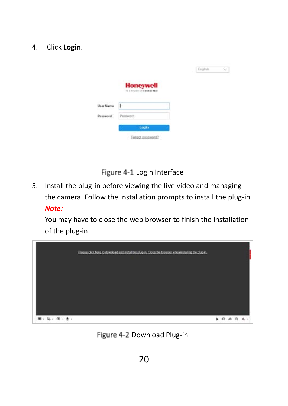#### 4. Click **Login**.

|                  | <b>Honeywell</b><br>Tell Wright in the member FE is | English. |  |
|------------------|-----------------------------------------------------|----------|--|
| <b>Uker Name</b> | E                                                   |          |  |
| Password.        | Parenword<br>Login                                  |          |  |
|                  | Forgot password?                                    |          |  |

Figure 4-1 Login Interface

5. Install the plug-in before viewing the live video and managing the camera. Follow the installation prompts to install the plug-in. *Note:*

You may have to close the web browser to finish the installation of the plug-in.



Figure 4-2 Download Plug-in